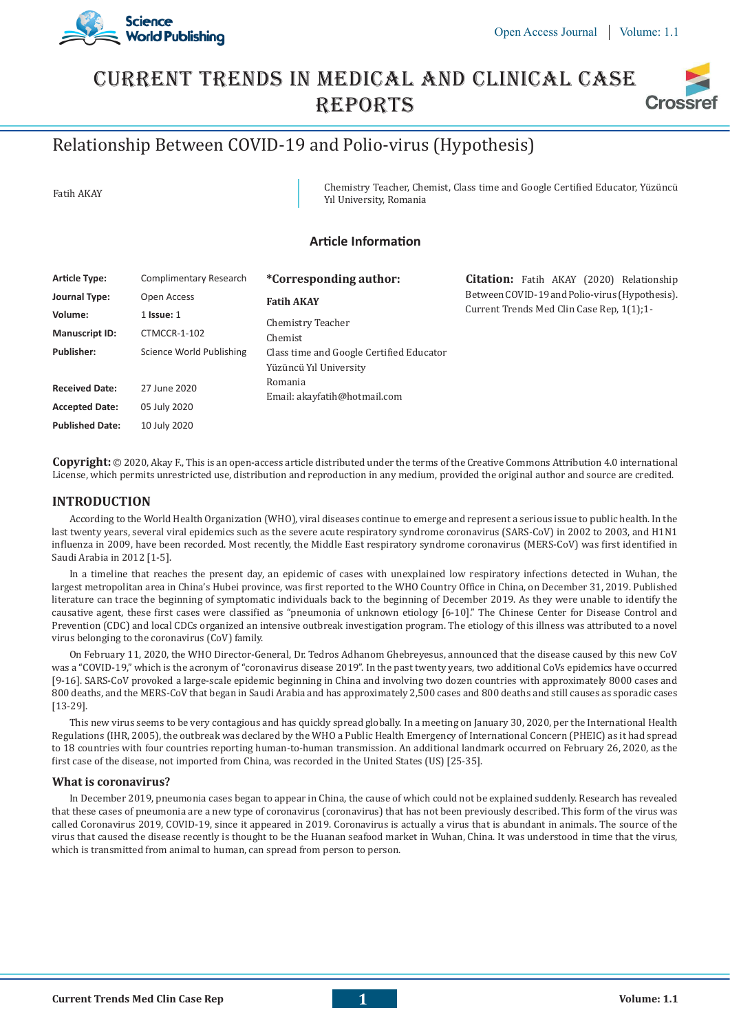



# Current Trends In Medical And Clinical Case **REPORTS** Cross

# Relationship Between COVID-19 and Polio-virus (Hypothesis)

Fatih AKAY Chemistry Teacher, Chemist, Class time and Google Certified Educator, Yüzüncü Yıl University, Romania

## **Article Information**

| <b>Article Type:</b>   | Complimentary Research   | *Corresponding author:                                             | <b>Citation:</b> Fatih AKAY (2020) Relationship                                             |
|------------------------|--------------------------|--------------------------------------------------------------------|---------------------------------------------------------------------------------------------|
| Journal Type:          | Open Access              | <b>Fatih AKAY</b>                                                  | Between COVID-19 and Polio-virus (Hypothesis).<br>Current Trends Med Clin Case Rep. 1(1):1- |
| Volume:                | $1$ Issue: $1$           | Chemistry Teacher<br>Chemist                                       |                                                                                             |
| <b>Manuscript ID:</b>  | CTMCCR-1-102             |                                                                    |                                                                                             |
| <b>Publisher:</b>      | Science World Publishing | Class time and Google Certified Educator<br>Yüzüncü Yıl University |                                                                                             |
| <b>Received Date:</b>  | 27 June 2020             | Romania<br>Email: akayfatih@hotmail.com                            |                                                                                             |
| <b>Accepted Date:</b>  | 05 July 2020             |                                                                    |                                                                                             |
| <b>Published Date:</b> | 10 July 2020             |                                                                    |                                                                                             |

**Copyright:** © 2020, Akay F., This is an open-access article distributed under the terms of the Creative Commons Attribution 4.0 international License, which permits unrestricted use, distribution and reproduction in any medium, provided the original author and source are credited.

### **INTRODUCTION**

According to the World Health Organization (WHO), viral diseases continue to emerge and represent a serious issue to public health. In the last twenty years, several viral epidemics such as the severe acute respiratory syndrome coronavirus (SARS-CoV) in 2002 to 2003, and H1N1 influenza in 2009, have been recorded. Most recently, the Middle East respiratory syndrome coronavirus (MERS-CoV) was first identified in Saudi Arabia in 2012 [1-5].

In a timeline that reaches the present day, an epidemic of cases with unexplained low respiratory infections detected in Wuhan, the largest metropolitan area in China's Hubei province, was first reported to the WHO Country Office in China, on December 31, 2019. Published literature can trace the beginning of symptomatic individuals back to the beginning of December 2019. As they were unable to identify the causative agent, these first cases were classified as "pneumonia of unknown etiology [6-10]." The Chinese Center for Disease Control and Prevention (CDC) and local CDCs organized an intensive outbreak investigation program. The etiology of this illness was attributed to a novel virus belonging to the coronavirus (CoV) family.

On February 11, 2020, the WHO Director-General, Dr. Tedros Adhanom Ghebreyesus, announced that the disease caused by this new CoV was a "COVID-19," which is the acronym of "coronavirus disease 2019". In the past twenty years, two additional CoVs epidemics have occurred [9-16]. SARS-CoV provoked a large-scale epidemic beginning in China and involving two dozen countries with approximately 8000 cases and 800 deaths, and the MERS-CoV that began in Saudi Arabia and has approximately 2,500 cases and 800 deaths and still causes as sporadic cases [13-29].

This new virus seems to be very contagious and has quickly spread globally. In a meeting on January 30, 2020, per the International Health Regulations (IHR, 2005), the outbreak was declared by the WHO a Public Health Emergency of International Concern (PHEIC) as it had spread to 18 countries with four countries reporting human-to-human transmission. An additional landmark occurred on February 26, 2020, as the first case of the disease, not imported from China, was recorded in the United States (US) [25-35].

#### **What is coronavirus?**

In December 2019, pneumonia cases began to appear in China, the cause of which could not be explained suddenly. Research has revealed that these cases of pneumonia are a new type of coronavirus (coronavirus) that has not been previously described. This form of the virus was called Coronavirus 2019, COVID-19, since it appeared in 2019. Coronavirus is actually a virus that is abundant in animals. The source of the virus that caused the disease recently is thought to be the Huanan seafood market in Wuhan, China. It was understood in time that the virus, which is transmitted from animal to human, can spread from person to person.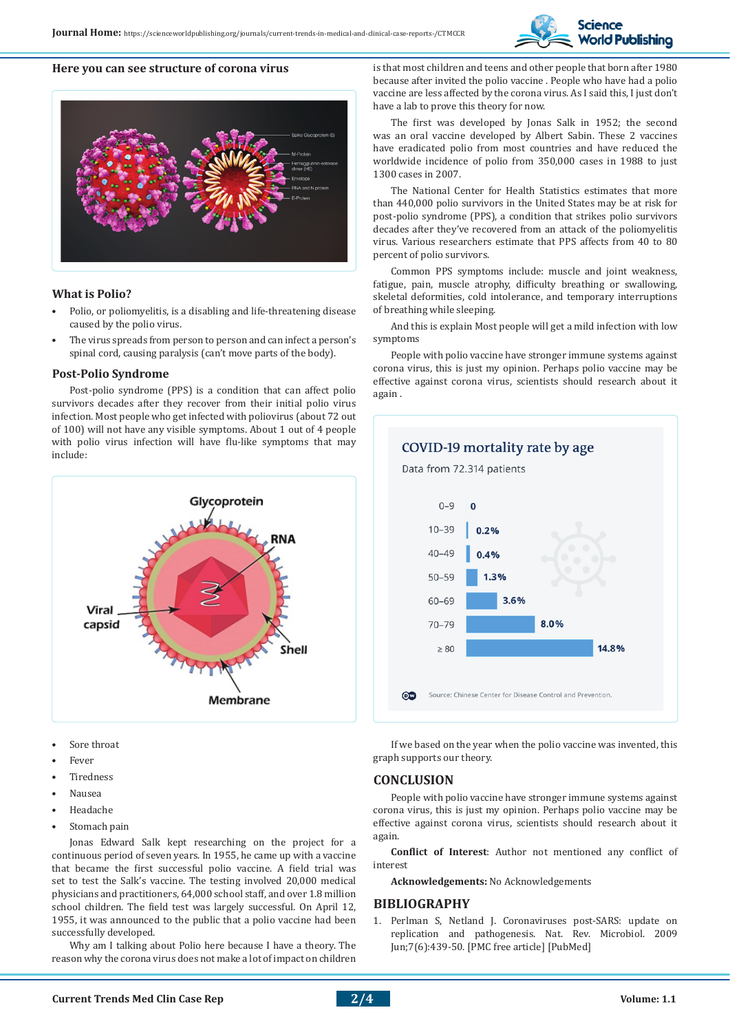

#### **Here you can see structure of corona virus**



#### **What is Polio?**

- Polio, or poliomyelitis, is a disabling and life-threatening disease caused by the polio virus.
- The virus spreads from person to person and can infect a person's spinal cord, causing paralysis (can't move parts of the body).

#### **Post-Polio Syndrome**

Post-polio syndrome (PPS) is a condition that can affect polio survivors decades after they recover from their initial polio virus infection. Most people who get infected with poliovirus (about 72 out of 100) will not have any visible symptoms. About 1 out of 4 people with polio virus infection will have flu-like symptoms that may include:



- Sore throat
- Fever
- **Tiredness**
- Nausea
- Headache
- Stomach pain

Jonas Edward Salk kept researching on the project for a continuous period of seven years. In 1955, he came up with a vaccine that became the first successful polio vaccine. A field trial was set to test the Salk's vaccine. The testing involved 20,000 medical physicians and practitioners, 64,000 school staff, and over 1.8 million school children. The field test was largely successful. On April 12, 1955, it was announced to the public that a polio vaccine had been successfully developed.

Why am I talking about Polio here because I have a theory. The reason why the corona virus does not make a lot of impact on children

is that most children and teens and other people that born after 1980 because after invited the polio vaccine . People who have had a polio vaccine are less affected by the corona virus. As I said this, I just don't have a lab to prove this theory for now.

The first was developed by Jonas Salk in 1952; the second was an oral vaccine developed by Albert Sabin. These 2 vaccines have eradicated polio from most countries and have reduced the worldwide incidence of polio from 350,000 cases in 1988 to just 1300 cases in 2007.

The National Center for Health Statistics estimates that more than 440,000 polio survivors in the United States may be at risk for post-polio syndrome (PPS), a condition that strikes polio survivors decades after they've recovered from an attack of the poliomyelitis virus. Various researchers estimate that PPS affects from 40 to 80 percent of polio survivors.

Common PPS symptoms include: muscle and joint weakness, fatigue, pain, muscle atrophy, difficulty breathing or swallowing, skeletal deformities, cold intolerance, and temporary interruptions of breathing while sleeping.

And this is explain Most people will get a mild infection with low symptoms

People with polio vaccine have stronger immune systems against corona virus, this is just my opinion. Perhaps polio vaccine may be effective against corona virus, scientists should research about it again .



If we based on the year when the polio vaccine was invented, this graph supports our theory.

#### **CONCLUSION**

People with polio vaccine have stronger immune systems against corona virus, this is just my opinion. Perhaps polio vaccine may be effective against corona virus, scientists should research about it again.

**Conflict of Interest**: Author not mentioned any conflict of interest

**Acknowledgements:** No Acknowledgements

#### **BIBLIOGRAPHY**

1. Perlman S, Netland J. Coronaviruses post-SARS: update on replication and pathogenesis. Nat. Rev. Microbiol. 2009 Jun;7(6):439-50. [PMC free article] [PubMed]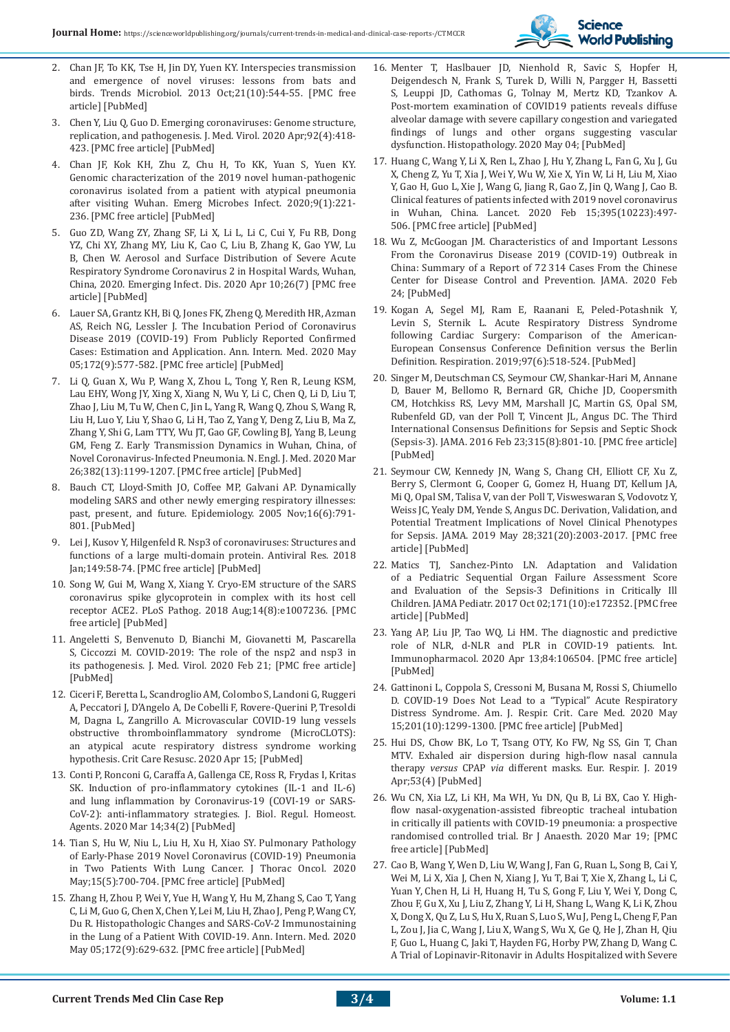

- 2. Chan JF, To KK, Tse H, Jin DY, Yuen KY. Interspecies transmission and emergence of novel viruses: lessons from bats and birds. Trends Microbiol. 2013 Oct;21(10):544-55. [PMC free article] [PubMed]
- 3. Chen Y, Liu Q, Guo D. Emerging coronaviruses: Genome structure, replication, and pathogenesis. J. Med. Virol. 2020 Apr;92(4):418- 423. [PMC free article] [PubMed]
- 4. Chan JF, Kok KH, Zhu Z, Chu H, To KK, Yuan S, Yuen KY. Genomic characterization of the 2019 novel human-pathogenic coronavirus isolated from a patient with atypical pneumonia after visiting Wuhan. Emerg Microbes Infect. 2020;9(1):221- 236. [PMC free article] [PubMed]
- 5. Guo ZD, Wang ZY, Zhang SF, Li X, Li L, Li C, Cui Y, Fu RB, Dong YZ, Chi XY, Zhang MY, Liu K, Cao C, Liu B, Zhang K, Gao YW, Lu B, Chen W. Aerosol and Surface Distribution of Severe Acute Respiratory Syndrome Coronavirus 2 in Hospital Wards, Wuhan, China, 2020. Emerging Infect. Dis. 2020 Apr 10;26(7) [PMC free article] [PubMed]
- 6. Lauer SA, Grantz KH, Bi Q, Jones FK, Zheng Q, Meredith HR, Azman AS, Reich NG, Lessler J. The Incubation Period of Coronavirus Disease 2019 (COVID-19) From Publicly Reported Confirmed Cases: Estimation and Application. Ann. Intern. Med. 2020 May 05;172(9):577-582. [PMC free article] [PubMed]
- 7. Li Q, Guan X, Wu P, Wang X, Zhou L, Tong Y, Ren R, Leung KSM, Lau EHY, Wong JY, Xing X, Xiang N, Wu Y, Li C, Chen Q, Li D, Liu T, Zhao J, Liu M, Tu W, Chen C, Jin L, Yang R, Wang Q, Zhou S, Wang R, Liu H, Luo Y, Liu Y, Shao G, Li H, Tao Z, Yang Y, Deng Z, Liu B, Ma Z, Zhang Y, Shi G, Lam TTY, Wu JT, Gao GF, Cowling BJ, Yang B, Leung GM, Feng Z. Early Transmission Dynamics in Wuhan, China, of Novel Coronavirus-Infected Pneumonia. N. Engl. J. Med. 2020 Mar 26;382(13):1199-1207. [PMC free article] [PubMed]
- 8. Bauch CT, Lloyd-Smith JO, Coffee MP, Galvani AP. Dynamically modeling SARS and other newly emerging respiratory illnesses: past, present, and future. Epidemiology. 2005 Nov;16(6):791- 801. [PubMed]
- 9. Lei J, Kusov Y, Hilgenfeld R. Nsp3 of coronaviruses: Structures and functions of a large multi-domain protein. Antiviral Res. 2018 Jan;149:58-74. [PMC free article] [PubMed]
- 10. Song W, Gui M, Wang X, Xiang Y. Cryo-EM structure of the SARS coronavirus spike glycoprotein in complex with its host cell receptor ACE2. PLoS Pathog. 2018 Aug;14(8):e1007236. [PMC free article] [PubMed]
- 11. Angeletti S, Benvenuto D, Bianchi M, Giovanetti M, Pascarella S, Ciccozzi M. COVID-2019: The role of the nsp2 and nsp3 in its pathogenesis. J. Med. Virol. 2020 Feb 21; [PMC free article] [PubMed]
- 12. Ciceri F, Beretta L, Scandroglio AM, Colombo S, Landoni G, Ruggeri A, Peccatori J, D'Angelo A, De Cobelli F, Rovere-Querini P, Tresoldi M, Dagna L, Zangrillo A. Microvascular COVID-19 lung vessels obstructive thromboinflammatory syndrome (MicroCLOTS): an atypical acute respiratory distress syndrome working hypothesis. Crit Care Resusc. 2020 Apr 15; [PubMed]
- 13. Conti P, Ronconi G, Caraffa A, Gallenga CE, Ross R, Frydas I, Kritas SK. Induction of pro-inflammatory cytokines (IL-1 and IL-6) and lung inflammation by Coronavirus-19 (COVI-19 or SARS-CoV-2): anti-inflammatory strategies. J. Biol. Regul. Homeost. Agents. 2020 Mar 14;34(2) [PubMed]
- 14. Tian S, Hu W, Niu L, Liu H, Xu H, Xiao SY. Pulmonary Pathology of Early-Phase 2019 Novel Coronavirus (COVID-19) Pneumonia in Two Patients With Lung Cancer. J Thorac Oncol. 2020 May;15(5):700-704. [PMC free article] [PubMed]
- 15. Zhang H, Zhou P, Wei Y, Yue H, Wang Y, Hu M, Zhang S, Cao T, Yang C, Li M, Guo G, Chen X, Chen Y, Lei M, Liu H, Zhao J, Peng P, Wang CY, Du R. Histopathologic Changes and SARS-CoV-2 Immunostaining in the Lung of a Patient With COVID-19. Ann. Intern. Med. 2020 May 05;172(9):629-632. [PMC free article] [PubMed]
- 16. Menter T, Haslbauer JD, Nienhold R, Savic S, Hopfer H, Deigendesch N, Frank S, Turek D, Willi N, Pargger H, Bassetti S, Leuppi JD, Cathomas G, Tolnay M, Mertz KD, Tzankov A. Post-mortem examination of COVID19 patients reveals diffuse alveolar damage with severe capillary congestion and variegated findings of lungs and other organs suggesting vascular dysfunction. Histopathology. 2020 May 04; [PubMed]
- 17. Huang C, Wang Y, Li X, Ren L, Zhao J, Hu Y, Zhang L, Fan G, Xu J, Gu X, Cheng Z, Yu T, Xia J, Wei Y, Wu W, Xie X, Yin W, Li H, Liu M, Xiao Y, Gao H, Guo L, Xie J, Wang G, Jiang R, Gao Z, Jin Q, Wang J, Cao B. Clinical features of patients infected with 2019 novel coronavirus in Wuhan, China. Lancet. 2020 Feb 15;395(10223):497- 506. [PMC free article] [PubMed]
- 18. Wu Z, McGoogan JM. Characteristics of and Important Lessons From the Coronavirus Disease 2019 (COVID-19) Outbreak in China: Summary of a Report of 72 314 Cases From the Chinese Center for Disease Control and Prevention. JAMA. 2020 Feb 24; [PubMed]
- 19. Kogan A, Segel MJ, Ram E, Raanani E, Peled-Potashnik Y, Levin S, Sternik L. Acute Respiratory Distress Syndrome following Cardiac Surgery: Comparison of the American-European Consensus Conference Definition versus the Berlin Definition. Respiration. 2019;97(6):518-524. [PubMed]
- 20. Singer M, Deutschman CS, Seymour CW, Shankar-Hari M, Annane D, Bauer M, Bellomo R, Bernard GR, Chiche JD, Coopersmith CM, Hotchkiss RS, Levy MM, Marshall JC, Martin GS, Opal SM, Rubenfeld GD, van der Poll T, Vincent JL, Angus DC. The Third International Consensus Definitions for Sepsis and Septic Shock (Sepsis-3). JAMA. 2016 Feb 23;315(8):801-10. [PMC free article] [PubMed]
- 21. Seymour CW, Kennedy JN, Wang S, Chang CH, Elliott CF, Xu Z, Berry S, Clermont G, Cooper G, Gomez H, Huang DT, Kellum JA, Mi Q, Opal SM, Talisa V, van der Poll T, Visweswaran S, Vodovotz Y, Weiss JC, Yealy DM, Yende S, Angus DC. Derivation, Validation, and Potential Treatment Implications of Novel Clinical Phenotypes for Sepsis. JAMA. 2019 May 28;321(20):2003-2017. [PMC free article] [PubMed]
- 22. Matics TJ, Sanchez-Pinto LN. Adaptation and Validation of a Pediatric Sequential Organ Failure Assessment Score and Evaluation of the Sepsis-3 Definitions in Critically Ill Children. JAMA Pediatr. 2017 Oct 02;171(10):e172352. [PMC free article] [PubMed]
- 23. Yang AP, Liu JP, Tao WQ, Li HM. The diagnostic and predictive role of NLR, d-NLR and PLR in COVID-19 patients. Int. Immunopharmacol. 2020 Apr 13;84:106504. [PMC free article] [PubMed]
- 24. Gattinoni L, Coppola S, Cressoni M, Busana M, Rossi S, Chiumello D. COVID-19 Does Not Lead to a "Typical" Acute Respiratory Distress Syndrome. Am. J. Respir. Crit. Care Med. 2020 May 15;201(10):1299-1300. [PMC free article] [PubMed]
- 25. Hui DS, Chow BK, Lo T, Tsang OTY, Ko FW, Ng SS, Gin T, Chan MTV. Exhaled air dispersion during high-flow nasal cannula therapy *versus* CPAP *via* different masks. Eur. Respir. J. 2019 Apr;53(4) [PubMed]
- 26. Wu CN, Xia LZ, Li KH, Ma WH, Yu DN, Qu B, Li BX, Cao Y. Highflow nasal-oxygenation-assisted fibreoptic tracheal intubation in critically ill patients with COVID-19 pneumonia: a prospective randomised controlled trial. Br J Anaesth. 2020 Mar 19; [PMC free article] [PubMed]
- 27. Cao B, Wang Y, Wen D, Liu W, Wang J, Fan G, Ruan L, Song B, Cai Y, Wei M, Li X, Xia J, Chen N, Xiang J, Yu T, Bai T, Xie X, Zhang L, Li C, Yuan Y, Chen H, Li H, Huang H, Tu S, Gong F, Liu Y, Wei Y, Dong C, Zhou F, Gu X, Xu J, Liu Z, Zhang Y, Li H, Shang L, Wang K, Li K, Zhou X, Dong X, Qu Z, Lu S, Hu X, Ruan S, Luo S, Wu J, Peng L, Cheng F, Pan L, Zou J, Jia C, Wang J, Liu X, Wang S, Wu X, Ge Q, He J, Zhan H, Qiu F, Guo L, Huang C, Jaki T, Hayden FG, Horby PW, Zhang D, Wang C. A Trial of Lopinavir-Ritonavir in Adults Hospitalized with Severe